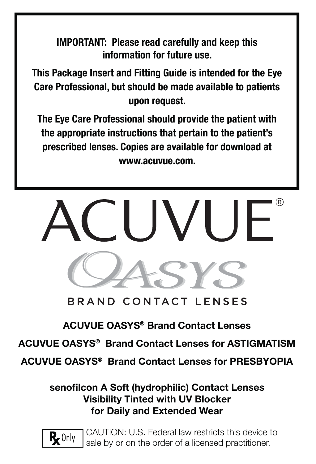**IMPORTANT: Please read carefully and keep this information for future use.**

**This Package Insert and Fitting Guide is intended for the Eye Care Professional, but should be made available to patients upon request.** 

**The Eye Care Professional should provide the patient with the appropriate instructions that pertain to the patient's prescribed lenses. Copies are available for download at www.acuvue.com.**



# BRAND CONTACT LENSES

# **ACUVUE OASYS® Brand Contact Lenses**

**ACUVUE OASYS® Brand Contact Lenses for ASTIGMATISM**

**ACUVUE OASYS® Brand Contact Lenses for PRESBYOPIA**

senofilcon A Soft (hydrophilic) Contact Lenses **Visibility Tinted with UV Blocker for Daily and Extended Wear**



CAUTION: U.S. Federal law restricts this device to sale by or on the order of a licensed practitioner.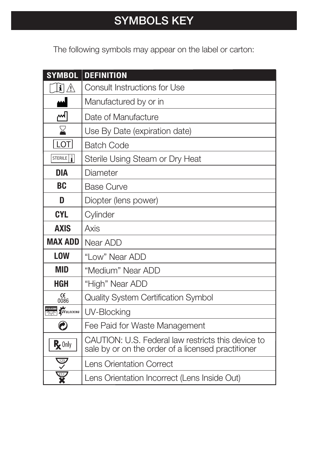# **SYMBOLS KEY**

The following symbols may appear on the label or carton:

| <b>SYMBOL</b>                                           | <b>DEFINITION</b>                                                                                        |
|---------------------------------------------------------|----------------------------------------------------------------------------------------------------------|
| $\mathbf{I} \mathbb{A}$                                 | <b>Consult Instructions for Use</b>                                                                      |
|                                                         | Manufactured by or in                                                                                    |
| <u> (~</u>                                              | Date of Manufacture                                                                                      |
| $\boldsymbol{\Sigma}$                                   | Use By Date (expiration date)                                                                            |
| LOT                                                     | <b>Batch Code</b>                                                                                        |
| STERILE                                                 | Sterile Using Steam or Dry Heat                                                                          |
| <b>DIA</b>                                              | Diameter                                                                                                 |
| <b>BC</b>                                               | <b>Base Curve</b>                                                                                        |
| D                                                       | Diopter (lens power)                                                                                     |
| <b>CYL</b>                                              | Cylinder                                                                                                 |
| <b>AXIS</b>                                             | Axis                                                                                                     |
| <b>MAX ADD</b>                                          | Near ADD                                                                                                 |
| <b>LOW</b>                                              | "Low" Near ADD                                                                                           |
| <b>MID</b>                                              | "Medium" Near ADD                                                                                        |
| <b>HGH</b>                                              | "High" Near ADD                                                                                          |
| $\begin{array}{c} \text{CE} \\ \text{0086} \end{array}$ | <b>Quality System Certification Symbol</b>                                                               |
| <b>UV BLOCKING</b>                                      | UV-Blocking                                                                                              |
| Ø                                                       | Fee Paid for Waste Management                                                                            |
| $R_{\mathbf{z}}$ Only                                   | CAUTION: U.S. Federal law restricts this device to<br>sale by or on the order of a licensed practitioner |
| $\frac{123}{\sqrt{25}}$                                 | <b>Lens Orientation Correct</b>                                                                          |
| $\frac{1}{\sqrt{2}}$                                    | Lens Orientation Incorrect (Lens Inside Out)                                                             |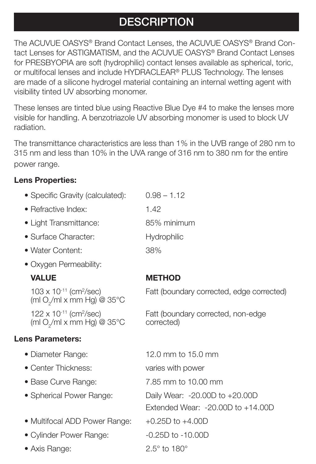# **DESCRIPTION**

The ACUVUE OASYS® Brand Contact Lenses, the ACUVUE OASYS® Brand Contact Lenses for ASTIGMATISM, and the ACUVUE OASYS® Brand Contact Lenses for PRESBYOPIA are soft (hydrophilic) contact lenses available as spherical, toric, or multifocal lenses and include HYDRACLEAR® PLUS Technology. The lenses are made of a silicone hydrogel material containing an internal wetting agent with visibility tinted UV absorbing monomer.

These lenses are tinted blue using Reactive Blue Dye #4 to make the lenses more visible for handling. A benzotriazole UV absorbing monomer is used to block UV radiation.

The transmittance characteristics are less than 1% in the UVB range of 280 nm to 315 nm and less than 10% in the UVA range of 316 nm to 380 nm for the entire power range.

edge corrected)

# **Lens Properties:**

| • Specific Gravity (calculated):                                                                 | $0.98 - 1.12$                                                               |  |
|--------------------------------------------------------------------------------------------------|-----------------------------------------------------------------------------|--|
| • Refractive Index:                                                                              | 1.42                                                                        |  |
| • Light Transmittance:                                                                           | 85% minimum                                                                 |  |
| • Surface Character:                                                                             | Hydrophilic                                                                 |  |
| • Water Content:                                                                                 | 38%                                                                         |  |
| • Oxygen Permeability:                                                                           |                                                                             |  |
| <b>VALUE</b>                                                                                     | <b>METHOD</b>                                                               |  |
| 103 x 10-11 (cm <sup>2</sup> /sec)<br>(ml O <sub>2</sub> /ml x mm Hg) @ $35^{\circ}$ C           | Fatt (boundary corrected, edge correct                                      |  |
| $122 \times 10^{-11}$ (cm <sup>2</sup> /sec)<br>(ml O <sub>2</sub> /ml x mm Hg) @ $35^{\circ}$ C | Fatt (boundary corrected, non-edge<br>corrected)                            |  |
| <b>Lens Parameters:</b>                                                                          |                                                                             |  |
| • Diameter Range:                                                                                | 12.0 mm to 15.0 mm                                                          |  |
| • Center Thickness:                                                                              | varies with power                                                           |  |
| • Base Curve Range:                                                                              | 7.85 mm to 10.00 mm                                                         |  |
| • Spherical Power Range:                                                                         | Daily Wear: $-20.00D$ to $+20.00D$<br>Extended Wear: $-20.00D$ to $+14.00D$ |  |
| • Multifocal ADD Power Range:                                                                    | $+0.25D$ to $+4.00D$                                                        |  |
| • Cylinder Power Range:                                                                          | $-0.25D$ to $-10.00D$                                                       |  |
| • Axis Range:                                                                                    | $2.5^\circ$ to 180 $^\circ$                                                 |  |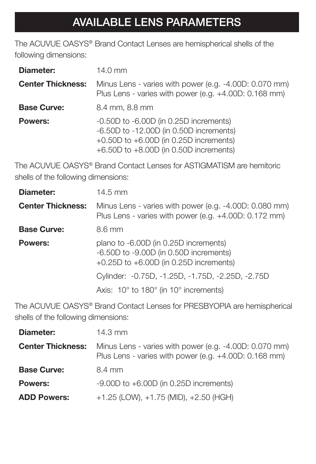# **AVAILABLE LENS PARAMETERS**

The ACUVUE OASYS® Brand Contact Lenses are hemispherical shells of the following dimensions:

| Diameter:                | 14.0 mm                                                                                                                                                                           |  |
|--------------------------|-----------------------------------------------------------------------------------------------------------------------------------------------------------------------------------|--|
| <b>Center Thickness:</b> | Minus Lens - varies with power (e.g. -4.00D: 0.070 mm)<br>Plus Lens - varies with power (e.g. +4.00D: 0.168 mm)                                                                   |  |
| <b>Base Curve:</b>       | 8.4 mm, 8.8 mm                                                                                                                                                                    |  |
| <b>Powers:</b>           | $-0.50D$ to $-6.00D$ (in 0.25D increments)<br>$-6.50D$ to $-12.00D$ (in 0.50D increments)<br>+0.50D to $+6.00D$ (in 0.25D increments)<br>+6.50D to $+8.00D$ (in 0.50D increments) |  |

The ACUVUE OASYS® Brand Contact Lenses for ASTIGMATISM are hemitoric shells of the following dimensions:

| Diameter:                | $14.5 \text{ mm}$                                                                                                             |  |
|--------------------------|-------------------------------------------------------------------------------------------------------------------------------|--|
| <b>Center Thickness:</b> | Minus Lens - varies with power (e.g. -4.00D: 0.080 mm)<br>Plus Lens - varies with power (e.g. +4.00D: 0.172 mm)               |  |
| <b>Base Curve:</b>       | 8.6 mm                                                                                                                        |  |
| Powers:                  | plano to -6.00D (in 0.25D increments)<br>-6.50D to -9.00D (in 0.50D increments)<br>$+0.25D$ to $+6.00D$ (in 0.25D increments) |  |
|                          | Cylinder: -0.75D, -1.25D, -1.75D, -2.25D, -2.75D                                                                              |  |
|                          | Axis: $10^{\circ}$ to $180^{\circ}$ (in $10^{\circ}$ increments)                                                              |  |

The ACUVUE OASYS® Brand Contact Lenses for PRESBYOPIA are hemispherical shells of the following dimensions:

| Diameter:                | $14.3 \text{ mm}$                                                                                               |
|--------------------------|-----------------------------------------------------------------------------------------------------------------|
| <b>Center Thickness:</b> | Minus Lens - varies with power (e.g. -4.00D: 0.070 mm)<br>Plus Lens - varies with power (e.g. +4.00D: 0.168 mm) |
| <b>Base Curve:</b>       | 8.4 mm                                                                                                          |
| <b>Powers:</b>           | $-9.00D$ to $+6.00D$ (in 0.25D increments)                                                                      |
| <b>ADD Powers:</b>       | $+1.25$ (LOW), $+1.75$ (MID), $+2.50$ (HGH)                                                                     |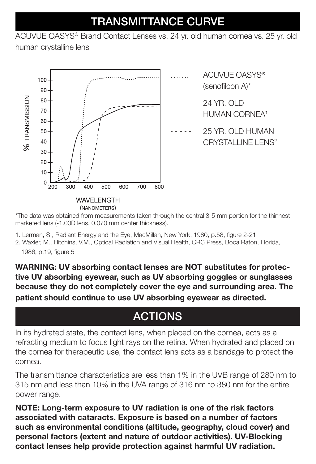# **TRANSMITTANCE CURVE**

ACUVUE OASYS® Brand Contact Lenses vs. 24 yr. old human cornea vs. 25 yr. old

human crystalline lens



(NANOMETERS)

\*The data was obtained from measurements taken through the central 3-5 mm portion for the thinnest marketed lens (-1.00D lens, 0.070 mm center thickness).

- 1. Lerman, S., Radiant Energy and the Eye, MacMillan, New York, 1980, p.58, figure 2-21
- 2. Waxler, M., Hitchins, V.M., Optical Radiation and Visual Health, CRC Press, Boca Raton, Florida, 1986, p.19, figure 5

**WARNING: UV absorbing contact lenses are NOT substitutes for protective UV absorbing eyewear, such as UV absorbing goggles or sunglasses because they do not completely cover the eye and surrounding area. The patient should continue to use UV absorbing eyewear as directed.**

# **ACTIONS**

In its hydrated state, the contact lens, when placed on the cornea, acts as a refracting medium to focus light rays on the retina. When hydrated and placed on the cornea for therapeutic use, the contact lens acts as a bandage to protect the cornea.

The transmittance characteristics are less than 1% in the UVB range of 280 nm to 315 nm and less than 10% in the UVA range of 316 nm to 380 nm for the entire power range.

**NOTE: Long-term exposure to UV radiation is one of the risk factors associated with cataracts. Exposure is based on a number of factors such as environmental conditions (altitude, geography, cloud cover) and personal factors (extent and nature of outdoor activities). UV-Blocking contact lenses help provide protection against harmful UV radiation.**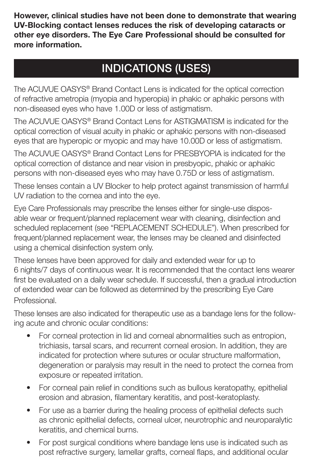**However, clinical studies have not been done to demonstrate that wearing UV-Blocking contact lenses reduces the risk of developing cataracts or other eye disorders. The Eye Care Professional should be consulted for more information.**

# **INDICATIONS (USES)**

The ACUVUE OASYS® Brand Contact Lens is indicated for the optical correction of refractive ametropia (myopia and hyperopia) in phakic or aphakic persons with non-diseased eyes who have 1.00D or less of astigmatism.

The ACUVUE OASYS® Brand Contact Lens for ASTIGMATISM is indicated for the optical correction of visual acuity in phakic or aphakic persons with non-diseased eyes that are hyperopic or myopic and may have 10.00D or less of astigmatism.

The ACUVUE OASYS® Brand Contact Lens for PRESBYOPIA is indicated for the optical correction of distance and near vision in presbyopic, phakic or aphakic persons with non-diseased eyes who may have 0.75D or less of astigmatism.

These lenses contain a UV Blocker to help protect against transmission of harmful UV radiation to the cornea and into the eye.

Eye Care Professionals may prescribe the lenses either for single-use disposable wear or frequent/planned replacement wear with cleaning, disinfection and scheduled replacement (see "REPLACEMENT SCHEDULE"). When prescribed for frequent/planned replacement wear, the lenses may be cleaned and disinfected using a chemical disinfection system only.

These lenses have been approved for daily and extended wear for up to 6 nights/7 days of continuous wear. It is recommended that the contact lens wearer first be evaluated on a daily wear schedule. If successful, then a gradual introduction of extended wear can be followed as determined by the prescribing Eye Care Professional.

These lenses are also indicated for therapeutic use as a bandage lens for the following acute and chronic ocular conditions:

- For corneal protection in lid and corneal abnormalities such as entropion, trichiasis, tarsal scars, and recurrent corneal erosion. In addition, they are indicated for protection where sutures or ocular structure malformation, degeneration or paralysis may result in the need to protect the cornea from exposure or repeated irritation.
- For corneal pain relief in conditions such as bullous keratopathy, epithelial erosion and abrasion, filamentary keratitis, and post-keratoplasty.
- For use as a barrier during the healing process of epithelial defects such as chronic epithelial defects, corneal ulcer, neurotrophic and neuroparalytic keratitis, and chemical burns.
- For post surgical conditions where bandage lens use is indicated such as post refractive surgery, lamellar grafts, corneal flaps, and additional ocular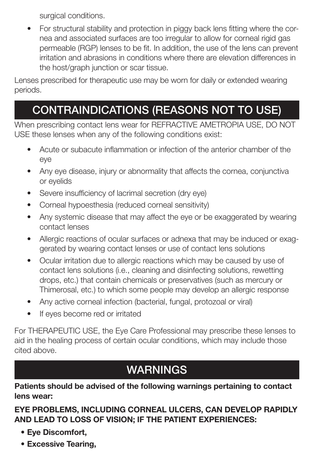surgical conditions.

• For structural stability and protection in piggy back lens fitting where the cornea and associated surfaces are too irregular to allow for corneal rigid gas permeable (RGP) lenses to be fit. In addition, the use of the lens can prevent irritation and abrasions in conditions where there are elevation differences in the host/graph junction or scar tissue.

Lenses prescribed for therapeutic use may be worn for daily or extended wearing periods.

# **CONTRAINDICATIONS (REASONS NOT TO USE)**

When prescribing contact lens wear for REFRACTIVE AMETROPIA USE, DO NOT USE these lenses when any of the following conditions exist:

- Acute or subacute inflammation or infection of the anterior chamber of the eye
- Any eye disease, injury or abnormality that affects the cornea, conjunctiva or eyelids
- Severe insufficiency of lacrimal secretion (dry eye)
- Corneal hypoesthesia (reduced corneal sensitivity)
- Any systemic disease that may affect the eye or be exaggerated by wearing contact lenses
- Allergic reactions of ocular surfaces or adnexa that may be induced or exaggerated by wearing contact lenses or use of contact lens solutions
- Ocular irritation due to allergic reactions which may be caused by use of contact lens solutions (i.e., cleaning and disinfecting solutions, rewetting drops, etc.) that contain chemicals or preservatives (such as mercury or Thimerosal, etc.) to which some people may develop an allergic response
- Any active corneal infection (bacterial, fungal, protozoal or viral)
- If eyes become red or irritated

For THERAPEUTIC USE, the Eye Care Professional may prescribe these lenses to aid in the healing process of certain ocular conditions, which may include those cited above.

# **WARNINGS**

**Patients should be advised of the following warnings pertaining to contact lens wear:**

# **EYE PROBLEMS, INCLUDING CORNEAL ULCERS, CAN DEVELOP RAPIDLY AND LEAD TO LOSS OF VISION; IF THE PATIENT EXPERIENCES:**

- **Eye Discomfort,**
- **Excessive Tearing,**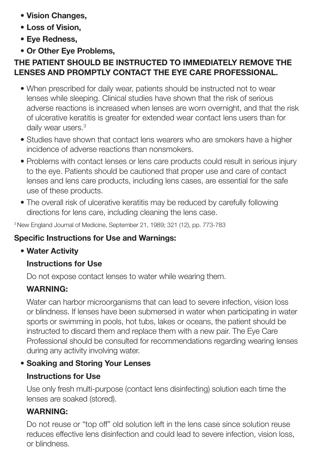- **Vision Changes,**
- **Loss of Vision,**
- **Eye Redness,**
- **Or Other Eye Problems,**

# **THE PATIENT SHOULD BE INSTRUCTED TO IMMEDIATELY REMOVE THE LENSES AND PROMPTLY CONTACT THE EYE CARE PROFESSIONAL.**

- When prescribed for daily wear, patients should be instructed not to wear lenses while sleeping. Clinical studies have shown that the risk of serious adverse reactions is increased when lenses are worn overnight, and that the risk of ulcerative keratitis is greater for extended wear contact lens users than for daily wear users.<sup>3</sup>
- Studies have shown that contact lens wearers who are smokers have a higher incidence of adverse reactions than nonsmokers.
- Problems with contact lenses or lens care products could result in serious injury to the eye. Patients should be cautioned that proper use and care of contact lenses and lens care products, including lens cases, are essential for the safe use of these products.
- The overall risk of ulcerative keratitis may be reduced by carefully following directions for lens care, including cleaning the lens case.

3 New England Journal of Medicine, September 21, 1989; 321 (12), pp. 773-783

# **Specific Instructions for Use and Warnings:**

# **• Water Activity**

# **Instructions for Use**

Do not expose contact lenses to water while wearing them.

# **WARNING:**

Water can harbor microorganisms that can lead to severe infection, vision loss or blindness. If lenses have been submersed in water when participating in water sports or swimming in pools, hot tubs, lakes or oceans, the patient should be instructed to discard them and replace them with a new pair. The Eye Care Professional should be consulted for recommendations regarding wearing lenses during any activity involving water.

# **• Soaking and Storing Your Lenses**

# **Instructions for Use**

Use only fresh multi-purpose (contact lens disinfecting) solution each time the lenses are soaked (stored).

# **WARNING:**

Do not reuse or "top off" old solution left in the lens case since solution reuse reduces effective lens disinfection and could lead to severe infection, vision loss, or blindness.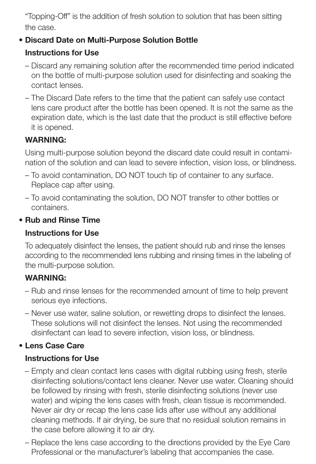"Topping-Off" is the addition of fresh solution to solution that has been sitting the case.

# **• Discard Date on Multi-Purpose Solution Bottle**

# **Instructions for Use**

- Discard any remaining solution after the recommended time period indicated on the bottle of multi-purpose solution used for disinfecting and soaking the contact lenses.
- The Discard Date refers to the time that the patient can safely use contact lens care product after the bottle has been opened. It is not the same as the expiration date, which is the last date that the product is still effective before it is opened.

# **WARNING:**

Using multi-purpose solution beyond the discard date could result in contamination of the solution and can lead to severe infection, vision loss, or blindness.

- To avoid contamination, DO NOT touch tip of container to any surface. Replace cap after using.
- To avoid contaminating the solution, DO NOT transfer to other bottles or containers.

# **• Rub and Rinse Time**

#### **Instructions for Use**

To adequately disinfect the lenses, the patient should rub and rinse the lenses according to the recommended lens rubbing and rinsing times in the labeling of the multi-purpose solution.

# **WARNING:**

- Rub and rinse lenses for the recommended amount of time to help prevent serious eye infections.
- Never use water, saline solution, or rewetting drops to disinfect the lenses. These solutions will not disinfect the lenses. Not using the recommended disinfectant can lead to severe infection, vision loss, or blindness.

# **• Lens Case Care**

# **Instructions for Use**

- Empty and clean contact lens cases with digital rubbing using fresh, sterile disinfecting solutions/contact lens cleaner. Never use water. Cleaning should be followed by rinsing with fresh, sterile disinfecting solutions (never use water) and wiping the lens cases with fresh, clean tissue is recommended. Never air dry or recap the lens case lids after use without any additional cleaning methods. If air drying, be sure that no residual solution remains in the case before allowing it to air dry.
- Replace the lens case according to the directions provided by the Eye Care Professional or the manufacturer's labeling that accompanies the case.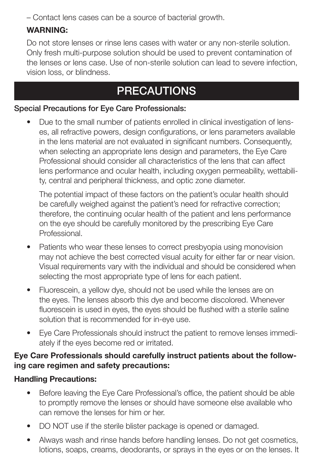– Contact lens cases can be a source of bacterial growth.

# **WARNING:**

Do not store lenses or rinse lens cases with water or any non-sterile solution. Only fresh multi-purpose solution should be used to prevent contamination of the lenses or lens case. Use of non-sterile solution can lead to severe infection, vision loss, or blindness.

# **PRECAUTIONS**

#### **Special Precautions for Eye Care Professionals:**

• Due to the small number of patients enrolled in clinical investigation of lenses, all refractive powers, design configurations, or lens parameters available in the lens material are not evaluated in significant numbers. Consequently, when selecting an appropriate lens design and parameters, the Eye Care Professional should consider all characteristics of the lens that can affect lens performance and ocular health, including oxygen permeability, wettability, central and peripheral thickness, and optic zone diameter.

The potential impact of these factors on the patient's ocular health should be carefully weighed against the patient's need for refractive correction; therefore, the continuing ocular health of the patient and lens performance on the eye should be carefully monitored by the prescribing Eye Care Professional.

- Patients who wear these lenses to correct presbyopia using monovision may not achieve the best corrected visual acuity for either far or near vision. Visual requirements vary with the individual and should be considered when selecting the most appropriate type of lens for each patient.
- Fluorescein, a yellow dye, should not be used while the lenses are on the eyes. The lenses absorb this dye and become discolored. Whenever fluorescein is used in eyes, the eyes should be flushed with a sterile saline solution that is recommended for in-eye use.
- Eye Care Professionals should instruct the patient to remove lenses immediately if the eyes become red or irritated.

#### **Eye Care Professionals should carefully instruct patients about the following care regimen and safety precautions:**

#### **Handling Precautions:**

- Before leaving the Eye Care Professional's office, the patient should be able to promptly remove the lenses or should have someone else available who can remove the lenses for him or her.
- DO NOT use if the sterile blister package is opened or damaged.
- Always wash and rinse hands before handling lenses. Do not get cosmetics, lotions, soaps, creams, deodorants, or sprays in the eyes or on the lenses. It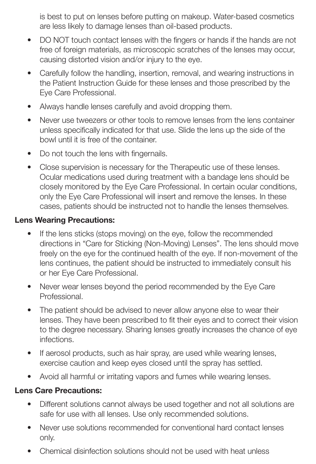is best to put on lenses before putting on makeup. Water-based cosmetics are less likely to damage lenses than oil-based products.

- DO NOT touch contact lenses with the fingers or hands if the hands are not free of foreign materials, as microscopic scratches of the lenses may occur, causing distorted vision and/or injury to the eye.
- Carefully follow the handling, insertion, removal, and wearing instructions in the Patient Instruction Guide for these lenses and those prescribed by the Eye Care Professional.
- Always handle lenses carefully and avoid dropping them.
- Never use tweezers or other tools to remove lenses from the lens container unless specifically indicated for that use. Slide the lens up the side of the bowl until it is free of the container.
- Do not touch the lens with fingernails.
- Close supervision is necessary for the Therapeutic use of these lenses. Ocular medications used during treatment with a bandage lens should be closely monitored by the Eye Care Professional. In certain ocular conditions, only the Eye Care Professional will insert and remove the lenses. In these cases, patients should be instructed not to handle the lenses themselves.

#### **Lens Wearing Precautions:**

- If the lens sticks (stops moving) on the eye, follow the recommended directions in "Care for Sticking (Non-Moving) Lenses". The lens should move freely on the eye for the continued health of the eye. If non-movement of the lens continues, the patient should be instructed to immediately consult his or her Eye Care Professional.
- Never wear lenses beyond the period recommended by the Eye Care Professional.
- The patient should be advised to never allow anyone else to wear their lenses. They have been prescribed to fit their eyes and to correct their vision to the degree necessary. Sharing lenses greatly increases the chance of eye infections.
- If aerosol products, such as hair spray, are used while wearing lenses, exercise caution and keep eyes closed until the spray has settled.
- Avoid all harmful or irritating vapors and fumes while wearing lenses.

#### **Lens Care Precautions:**

- Different solutions cannot always be used together and not all solutions are safe for use with all lenses. Use only recommended solutions.
- Never use solutions recommended for conventional hard contact lenses only.
- Chemical disinfection solutions should not be used with heat unless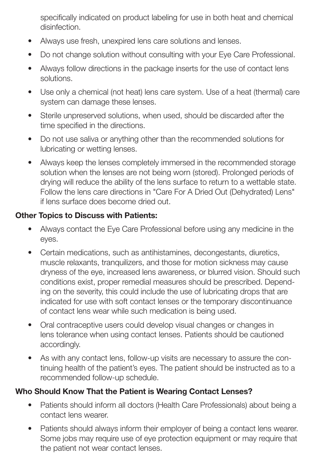specifically indicated on product labeling for use in both heat and chemical disinfection.

- Always use fresh, unexpired lens care solutions and lenses.
- Do not change solution without consulting with your Eye Care Professional.
- Always follow directions in the package inserts for the use of contact lens solutions.
- Use only a chemical (not heat) lens care system. Use of a heat (thermal) care system can damage these lenses.
- Sterile unpreserved solutions, when used, should be discarded after the time specified in the directions.
- Do not use saliva or anything other than the recommended solutions for lubricating or wetting lenses.
- Always keep the lenses completely immersed in the recommended storage solution when the lenses are not being worn (stored). Prolonged periods of drying will reduce the ability of the lens surface to return to a wettable state. Follow the lens care directions in "Care For A Dried Out (Dehydrated) Lens" if lens surface does become dried out.

#### **Other Topics to Discuss with Patients:**

- Always contact the Eye Care Professional before using any medicine in the eyes.
- Certain medications, such as antihistamines, decongestants, diuretics, muscle relaxants, tranquilizers, and those for motion sickness may cause dryness of the eye, increased lens awareness, or blurred vision. Should such conditions exist, proper remedial measures should be prescribed. Depending on the severity, this could include the use of lubricating drops that are indicated for use with soft contact lenses or the temporary discontinuance of contact lens wear while such medication is being used.
- Oral contraceptive users could develop visual changes or changes in lens tolerance when using contact lenses. Patients should be cautioned accordingly.
- As with any contact lens, follow-up visits are necessary to assure the continuing health of the patient's eyes. The patient should be instructed as to a recommended follow-up schedule.

#### **Who Should Know That the Patient is Wearing Contact Lenses?**

- Patients should inform all doctors (Health Care Professionals) about being a contact lens wearer.
- Patients should always inform their employer of being a contact lens wearer. Some jobs may require use of eye protection equipment or may require that the patient not wear contact lenses.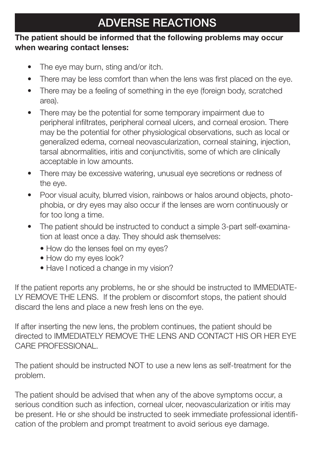# **ADVERSE REACTIONS**

#### **The patient should be informed that the following problems may occur when wearing contact lenses:**

- The eye may burn, sting and/or itch.
- There may be less comfort than when the lens was first placed on the eye.
- There may be a feeling of something in the eye (foreign body, scratched area).
- There may be the potential for some temporary impairment due to peripheral infiltrates, peripheral corneal ulcers, and corneal erosion. There may be the potential for other physiological observations, such as local or generalized edema, corneal neovascularization, corneal staining, injection, tarsal abnormalities, iritis and conjunctivitis, some of which are clinically acceptable in low amounts.
- There may be excessive watering, unusual eye secretions or redness of the eye.
- Poor visual acuity, blurred vision, rainbows or halos around objects, photophobia, or dry eyes may also occur if the lenses are worn continuously or for too long a time.
- The patient should be instructed to conduct a simple 3-part self-examination at least once a day. They should ask themselves:
	- How do the lenses feel on my eyes?
	- How do my eyes look?
	- Have I noticed a change in my vision?

If the patient reports any problems, he or she should be instructed to IMMEDIATE-LY REMOVE THE LENS. If the problem or discomfort stops, the patient should discard the lens and place a new fresh lens on the eye.

If after inserting the new lens, the problem continues, the patient should be directed to IMMEDIATELY REMOVE THE LENS AND CONTACT HIS OR HER EYE CARE PROFESSIONAL.

The patient should be instructed NOT to use a new lens as self-treatment for the problem.

The patient should be advised that when any of the above symptoms occur, a serious condition such as infection, corneal ulcer, neovascularization or iritis may be present. He or she should be instructed to seek immediate professional identification of the problem and prompt treatment to avoid serious eye damage.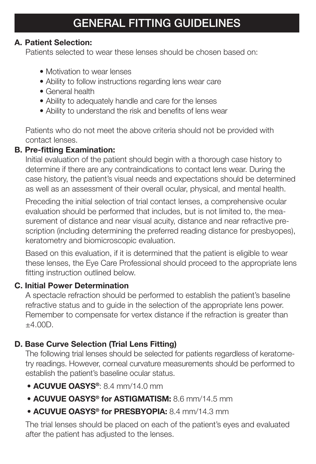#### **A. Patient Selection:**

Patients selected to wear these lenses should be chosen based on:

- Motivation to wear lenses
- Ability to follow instructions regarding lens wear care
- General health
- Ability to adequately handle and care for the lenses
- Ability to understand the risk and benefits of lens wear

Patients who do not meet the above criteria should not be provided with contact lenses.

# **B. Pre-fitting Examination:**

Initial evaluation of the patient should begin with a thorough case history to determine if there are any contraindications to contact lens wear. During the case history, the patient's visual needs and expectations should be determined as well as an assessment of their overall ocular, physical, and mental health.

Preceding the initial selection of trial contact lenses, a comprehensive ocular evaluation should be performed that includes, but is not limited to, the measurement of distance and near visual acuity, distance and near refractive prescription (including determining the preferred reading distance for presbyopes), keratometry and biomicroscopic evaluation.

Based on this evaluation, if it is determined that the patient is eligible to wear these lenses, the Eye Care Professional should proceed to the appropriate lens fitting instruction outlined below.

# **C. Initial Power Determination**

A spectacle refraction should be performed to establish the patient's baseline refractive status and to guide in the selection of the appropriate lens power. Remember to compensate for vertex distance if the refraction is greater than ±4.00D.

# **D. Base Curve Selection (Trial Lens Fitting)**

The following trial lenses should be selected for patients regardless of keratometry readings. However, corneal curvature measurements should be performed to establish the patient's baseline ocular status.

- **ACUVUE OASYS®**: 8.4 mm/14.0 mm
- **ACUVUE OASYS® for ASTIGMATISM:** 8.6 mm/14.5 mm
- **ACUVUE OASYS® for PRESBYOPIA:** 8.4 mm/14.3 mm

The trial lenses should be placed on each of the patient's eyes and evaluated after the patient has adjusted to the lenses.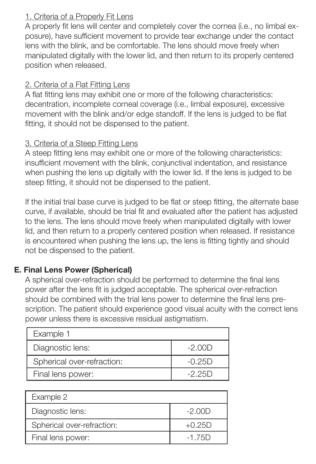#### 1. Criteria of a Properly Fit Lens

A properly fit lens will center and completely cover the cornea (i.e., no limbal exposure), have sufficient movement to provide tear exchange under the contact lens with the blink, and be comfortable. The lens should move freely when manipulated digitally with the lower lid, and then return to its properly centered position when released.

#### 2. Criteria of a Flat Fitting Lens

A flat fitting lens may exhibit one or more of the following characteristics: decentration, incomplete corneal coverage (i.e., limbal exposure), excessive movement with the blink and/or edge standoff. If the lens is judged to be flat fitting, it should not be dispensed to the patient.

#### 3. Criteria of a Steep Fitting Lens

A steep fitting lens may exhibit one or more of the following characteristics: insufficient movement with the blink, conjunctival indentation, and resistance when pushing the lens up digitally with the lower lid. If the lens is judged to be steep fitting, it should not be dispensed to the patient.

If the initial trial base curve is judged to be flat or steep fitting, the alternate base curve, if available, should be trial fit and evaluated after the patient has adjusted to the lens. The lens should move freely when manipulated digitally with lower lid, and then return to a properly centered position when released. If resistance is encountered when pushing the lens up, the lens is fitting tightly and should not be dispensed to the patient.

# **E. Final Lens Power (Spherical)**

A spherical over-refraction should be performed to determine the final lens power after the lens fit is judged acceptable. The spherical over-refraction should be combined with the trial lens power to determine the final lens prescription. The patient should experience good visual acuity with the correct lens power unless there is excessive residual astigmatism.

| Example 1                  |          |
|----------------------------|----------|
| Diagnostic lens:           | $-2.00D$ |
| Spherical over-refraction: | $-0.25D$ |
| Final lens power:          | $-2.25D$ |

| Example 2                  |          |
|----------------------------|----------|
| Diagnostic lens:           | $-2.00D$ |
| Spherical over-refraction: | $+0.25D$ |
| Final lens power:          | $-1.75D$ |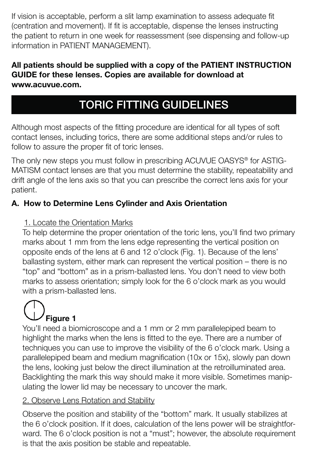If vision is acceptable, perform a slit lamp examination to assess adequate fit (centration and movement). If fit is acceptable, dispense the lenses instructing the patient to return in one week for reassessment (see dispensing and follow-up information in PATIENT MANAGEMENT).

#### **All patients should be supplied with a copy of the PATIENT INSTRUCTION GUIDE for these lenses. Copies are available for download at www.acuvue.com.**

# **TORIC FITTING GUIDELINES**

Although most aspects of the fitting procedure are identical for all types of soft contact lenses, including torics, there are some additional steps and/or rules to follow to assure the proper fit of toric lenses.

The only new steps you must follow in prescribing ACUVUE OASYS® for ASTIG-MATISM contact lenses are that you must determine the stability, repeatability and drift angle of the lens axis so that you can prescribe the correct lens axis for your patient.

# **A. How to Determine Lens Cylinder and Axis Orientation**

# 1. Locate the Orientation Marks

To help determine the proper orientation of the toric lens, you'll find two primary marks about 1 mm from the lens edge representing the vertical position on opposite ends of the lens at 6 and 12 o'clock (Fig. 1). Because of the lens' ballasting system, either mark can represent the vertical position – there is no "top" and "bottom" as in a prism-ballasted lens. You don't need to view both marks to assess orientation; simply look for the 6 o'clock mark as you would with a prism-ballasted lens.

# **Figure 1**

You'll need a biomicroscope and a 1 mm or 2 mm parallelepiped beam to highlight the marks when the lens is fitted to the eye. There are a number of techniques you can use to improve the visibility of the 6 o'clock mark. Using a parallelepiped beam and medium magnification (10x or 15x), slowly pan down the lens, looking just below the direct illumination at the retroilluminated area. Backlighting the mark this way should make it more visible. Sometimes manipulating the lower lid may be necessary to uncover the mark.

# 2. Observe Lens Rotation and Stability

Observe the position and stability of the "bottom" mark. It usually stabilizes at the 6 o'clock position. If it does, calculation of the lens power will be straightforward. The 6 o'clock position is not a "must"; however, the absolute requirement is that the axis position be stable and repeatable.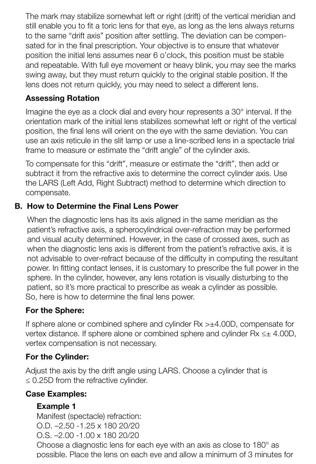The mark may stabilize somewhat left or right (drift) of the vertical meridian and still enable you to fit a toric lens for that eye, as long as the lens always returns to the same "drift axis" position after settling. The deviation can be compensated for in the final prescription. Your objective is to ensure that whatever position the initial lens assumes near 6 o'clock, this position must be stable and repeatable. With full eye movement or heavy blink, you may see the marks swing away, but they must return quickly to the original stable position. If the lens does not return quickly, you may need to select a different lens.

#### **Assessing Rotation**

Imagine the eye as a clock dial and every hour represents a 30° interval. If the orientation mark of the initial lens stabilizes somewhat left or right of the vertical position, the final lens will orient on the eve with the same deviation. You can use an axis reticule in the slit lamp or use a line-scribed lens in a spectacle trial frame to measure or estimate the "drift angle" of the cylinder axis.

To compensate for this "drift", measure or estimate the "drift", then add or subtract it from the refractive axis to determine the correct cylinder axis. Use the LARS (Left Add, Right Subtract) method to determine which direction to compensate.

#### **B. How to Determine the Final Lens Power**

When the diagnostic lens has its axis aligned in the same meridian as the patient's refractive axis, a spherocylindrical over-refraction may be performed and visual acuity determined. However, in the case of crossed axes, such as when the diagnostic lens axis is different from the patient's refractive axis, it is not advisable to over-refract because of the difficulty in computing the resultant power. In fitting contact lenses, it is customary to prescribe the full power in the sphere. In the cylinder, however, any lens rotation is visually disturbing to the patient, so it's more practical to prescribe as weak a cylinder as possible. So, here is how to determine the final lens power.

# **For the Sphere:**

If sphere alone or combined sphere and cylinder  $Rx > \pm 4.00D$ , compensate for vertex distance. If sphere alone or combined sphere and cylinder Rx ≤± 4.00D, vertex compensation is not necessary.

#### **For the Cylinder:**

Adjust the axis by the drift angle using LARS. Choose a cylinder that is  $\leq$  0.25D from the refractive cylinder.

#### **Case Examples:**

#### **Example 1**

Manifest (spectacle) refraction: O.D. –2.50 -1.25 x 180 20/20 O.S. –2.00 -1.00 x 180 20/20

Choose a diagnostic lens for each eye with an axis as close to 180° as possible. Place the lens on each eye and allow a minimum of 3 minutes for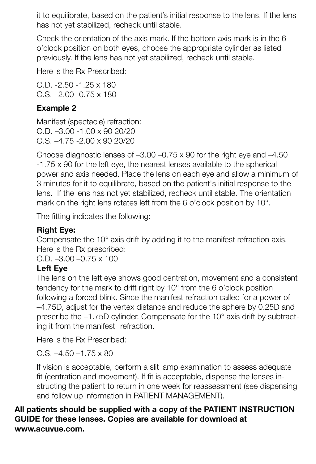it to equilibrate, based on the patient's initial response to the lens. If the lens has not yet stabilized, recheck until stable.

Check the orientation of the axis mark. If the bottom axis mark is in the 6 o'clock position on both eyes, choose the appropriate cylinder as listed previously. If the lens has not yet stabilized, recheck until stable.

Here is the Rx Prescribed:

O.D. -2.50 -1.25 x 180 O.S. –2.00 -0.75 x 180

#### **Example 2**

Manifest (spectacle) refraction: O.D. –3.00 -1.00 x 90 20/20 O.S. –4.75 -2.00 x 90 20/20

Choose diagnostic lenses of –3.00 –0.75 x 90 for the right eye and –4.50 -1.75 x 90 for the left eye, the nearest lenses available to the spherical power and axis needed. Place the lens on each eye and allow a minimum of 3 minutes for it to equilibrate, based on the patient's initial response to the lens. If the lens has not yet stabilized, recheck until stable. The orientation mark on the right lens rotates left from the 6 o'clock position by 10°.

The fitting indicates the following:

# **Right Eye:**

Compensate the 10° axis drift by adding it to the manifest refraction axis. Here is the Rx prescribed:

O.D. –3.00 –0.75 x 100

# **Left Eye**

The lens on the left eye shows good centration, movement and a consistent tendency for the mark to drift right by 10° from the 6 o'clock position following a forced blink. Since the manifest refraction called for a power of –4.75D, adjust for the vertex distance and reduce the sphere by 0.25D and prescribe the –1.75D cylinder. Compensate for the 10° axis drift by subtracting it from the manifest refraction.

Here is the Rx Prescribed:

O.S.  $-4.50 - 1.75 \times 80$ 

If vision is acceptable, perform a slit lamp examination to assess adequate fit (centration and movement). If fit is acceptable, dispense the lenses instructing the patient to return in one week for reassessment (see dispensing and follow up information in PATIENT MANAGEMENT).

#### **All patients should be supplied with a copy of the PATIENT INSTRUCTION GUIDE for these lenses. Copies are available for download at www.acuvue.com.**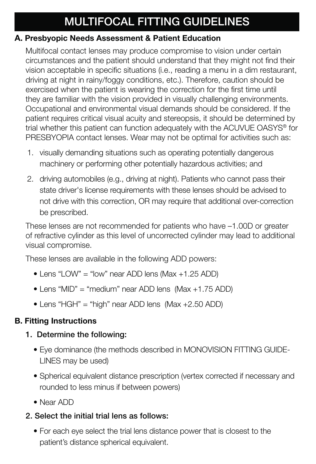# **MULTIFOCAL FITTING GUIDELINES**

#### **A. Presbyopic Needs Assessment & Patient Education**

Multifocal contact lenses may produce compromise to vision under certain circumstances and the patient should understand that they might not find their vision acceptable in specific situations (i.e., reading a menu in a dim restaurant, driving at night in rainy/foggy conditions, etc.). Therefore, caution should be exercised when the patient is wearing the correction for the first time until they are familiar with the vision provided in visually challenging environments. Occupational and environmental visual demands should be considered. If the patient requires critical visual acuity and stereopsis, it should be determined by trial whether this patient can function adequately with the ACUVUE OASYS® for PRESBYOPIA contact lenses. Wear may not be optimal for activities such as:

- 1. visually demanding situations such as operating potentially dangerous machinery or performing other potentially hazardous activities; and
- 2. driving automobiles (e.g., driving at night). Patients who cannot pass their state driver's license requirements with these lenses should be advised to not drive with this correction, OR may require that additional over-correction be prescribed.

These lenses are not recommended for patients who have –1.00D or greater of refractive cylinder as this level of uncorrected cylinder may lead to additional visual compromise.

These lenses are available in the following ADD powers:

- Lens "LOW" = "low" near ADD lens (Max +1.25 ADD)
- Lens "MID" = "medium" near ADD lens (Max +1.75 ADD)
- Lens "HGH" = "high" near ADD lens (Max +2.50 ADD)

#### **B. Fitting Instructions**

#### **1. Determine the following:**

- Eye dominance (the methods described in MONOVISION FITTING GUIDE-LINES may be used)
- Spherical equivalent distance prescription (vertex corrected if necessary and rounded to less minus if between powers)
- Near ADD

# **2 . Select the initial trial lens as follows:**

• For each eye select the trial lens distance power that is closest to the patient's distance spherical equivalent.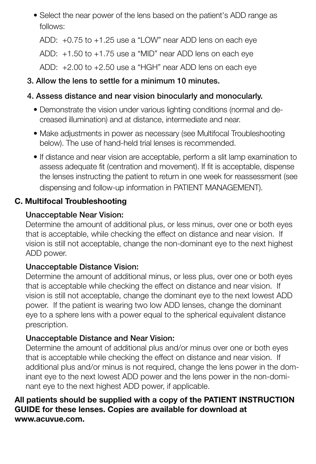• Select the near power of the lens based on the patient's ADD range as follows:

ADD: +0.75 to +1.25 use a "LOW" near ADD lens on each eye

ADD: +1.50 to +1.75 use a "MID" near ADD lens on each eye

ADD: +2.00 to +2.50 use a "HGH" near ADD lens on each eye

# **3. Allow the lens to settle for a minimum 10 minutes.**

# **4. Assess distance and near vision binocularly and monocularly.**

- Demonstrate the vision under various lighting conditions (normal and decreased illumination) and at distance, intermediate and near.
- Make adjustments in power as necessary (see Multifocal Troubleshooting below). The use of hand-held trial lenses is recommended.
- If distance and near vision are acceptable, perform a slit lamp examination to assess adequate fit (centration and movement). If fit is acceptable, dispense the lenses instructing the patient to return in one week for reassessment (see dispensing and follow-up information in PATIENT MANAGEMENT).

# **C. Multifocal Troubleshooting**

# **Unacceptable Near Vision:**

Determine the amount of additional plus, or less minus, over one or both eyes that is acceptable, while checking the effect on distance and near vision. If vision is still not acceptable, change the non-dominant eye to the next highest ADD power.

# **Unacceptable Distance Vision:**

Determine the amount of additional minus, or less plus, over one or both eyes that is acceptable while checking the effect on distance and near vision. If vision is still not acceptable, change the dominant eye to the next lowest ADD power. If the patient is wearing two low ADD lenses, change the dominant eye to a sphere lens with a power equal to the spherical equivalent distance prescription.

# **Unacceptable Distance and Near Vision:**

Determine the amount of additional plus and/or minus over one or both eyes that is acceptable while checking the effect on distance and near vision. If additional plus and/or minus is not required, change the lens power in the dominant eye to the next lowest ADD power and the lens power in the non-dominant eye to the next highest ADD power, if applicable.

#### **All patients should be supplied with a copy of the PATIENT INSTRUCTION GUIDE for these lenses. Copies are available for download at www.acuvue.com.**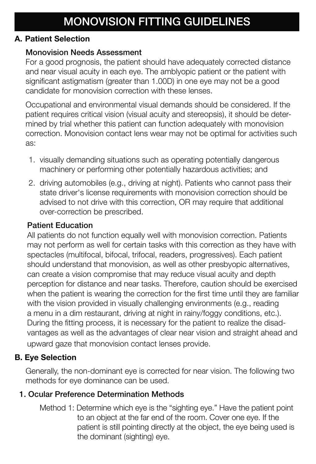#### **A. Patient Selection**

#### **Monovision Needs Assessment**

For a good prognosis, the patient should have adequately corrected distance and near visual acuity in each eye. The amblyopic patient or the patient with significant astigmatism (greater than 1.00D) in one eye may not be a good candidate for monovision correction with these lenses.

Occupational and environmental visual demands should be considered. If the patient requires critical vision (visual acuity and stereopsis), it should be determined by trial whether this patient can function adequately with monovision correction. Monovision contact lens wear may not be optimal for activities such as:

- 1. visually demanding situations such as operating potentially dangerous machinery or performing other potentially hazardous activities; and
- 2. driving automobiles (e.g., driving at night). Patients who cannot pass their state driver's license requirements with monovision correction should be advised to not drive with this correction, OR may require that additional over-correction be prescribed.

#### **Patient Education**

All patients do not function equally well with monovision correction. Patients may not perform as well for certain tasks with this correction as they have with spectacles (multifocal, bifocal, trifocal, readers, progressives). Each patient should understand that monovision, as well as other presbyopic alternatives, can create a vision compromise that may reduce visual acuity and depth perception for distance and near tasks. Therefore, caution should be exercised when the patient is wearing the correction for the first time until they are familiar with the vision provided in visually challenging environments (e.g., reading a menu in a dim restaurant, driving at night in rainy/foggy conditions, etc.). During the fitting process, it is necessary for the patient to realize the disadvantages as well as the advantages of clear near vision and straight ahead and upward gaze that monovision contact lenses provide.

# **B. Eye Selection**

Generally, the non-dominant eye is corrected for near vision. The following two methods for eye dominance can be used.

# **1. Ocular Preference Determination Methods**

Method 1: Determine which eye is the "sighting eye." Have the patient point to an object at the far end of the room. Cover one eye. If the patient is still pointing directly at the object, the eye being used is the dominant (sighting) eye.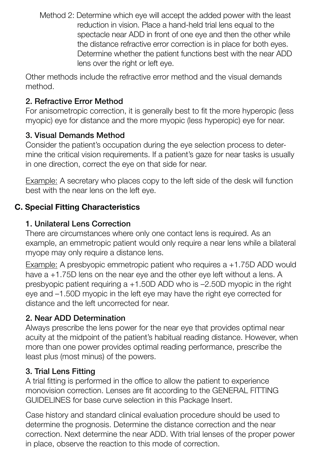Method 2: Determine which eye will accept the added power with the least reduction in vision. Place a hand-held trial lens equal to the spectacle near ADD in front of one eye and then the other while the distance refractive error correction is in place for both eyes. Determine whether the patient functions best with the near ADD lens over the right or left eye.

Other methods include the refractive error method and the visual demands method.

# **2. Refractive Error Method**

For anisometropic correction, it is generally best to fit the more hyperopic (less myopic) eye for distance and the more myopic (less hyperopic) eye for near.

# **3. Visual Demands Method**

Consider the patient's occupation during the eye selection process to determine the critical vision requirements. If a patient's gaze for near tasks is usually in one direction, correct the eye on that side for near.

Example: A secretary who places copy to the left side of the desk will function best with the near lens on the left eye.

# **C. Special Fitting Characteristics**

# **1. Unilateral Lens Correction**

There are circumstances where only one contact lens is required. As an example, an emmetropic patient would only require a near lens while a bilateral myope may only require a distance lens.

Example: A presbyopic emmetropic patient who requires  $a + 1.75D$  ADD would have a +1.75D lens on the near eye and the other eye left without a lens. A presbyopic patient requiring a +1.50D ADD who is –2.50D myopic in the right eye and –1.50D myopic in the left eye may have the right eye corrected for distance and the left uncorrected for near.

# **2. Near ADD Determination**

Always prescribe the lens power for the near eye that provides optimal near acuity at the midpoint of the patient's habitual reading distance. However, when more than one power provides optimal reading performance, prescribe the least plus (most minus) of the powers.

#### **3. Trial Lens Fitting**

A trial fitting is performed in the office to allow the patient to experience monovision correction. Lenses are fit according to the GENERAL FITTING GUIDELINES for base curve selection in this Package Insert.

Case history and standard clinical evaluation procedure should be used to determine the prognosis. Determine the distance correction and the near correction. Next determine the near ADD. With trial lenses of the proper power in place, observe the reaction to this mode of correction.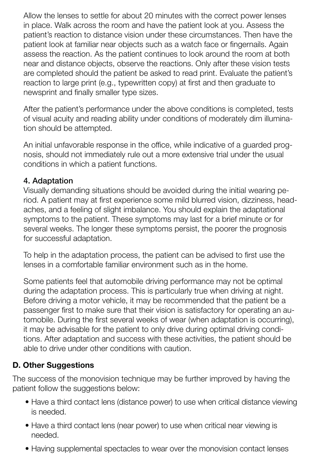Allow the lenses to settle for about 20 minutes with the correct power lenses in place. Walk across the room and have the patient look at you. Assess the patient's reaction to distance vision under these circumstances. Then have the patient look at familiar near objects such as a watch face or fingernails. Again assess the reaction. As the patient continues to look around the room at both near and distance objects, observe the reactions. Only after these vision tests are completed should the patient be asked to read print. Evaluate the patient's reaction to large print (e.g., typewritten copy) at first and then graduate to newsprint and finally smaller type sizes.

After the patient's performance under the above conditions is completed, tests of visual acuity and reading ability under conditions of moderately dim illumination should be attempted.

An initial unfavorable response in the office, while indicative of a guarded prognosis, should not immediately rule out a more extensive trial under the usual conditions in which a patient functions.

#### **4. Adaptation**

Visually demanding situations should be avoided during the initial wearing period. A patient may at first experience some mild blurred vision, dizziness, headaches, and a feeling of slight imbalance. You should explain the adaptational symptoms to the patient. These symptoms may last for a brief minute or for several weeks. The longer these symptoms persist, the poorer the prognosis for successful adaptation.

To help in the adaptation process, the patient can be advised to first use the lenses in a comfortable familiar environment such as in the home.

Some patients feel that automobile driving performance may not be optimal during the adaptation process. This is particularly true when driving at night. Before driving a motor vehicle, it may be recommended that the patient be a passenger first to make sure that their vision is satisfactory for operating an automobile. During the first several weeks of wear (when adaptation is occurring), it may be advisable for the patient to only drive during optimal driving conditions. After adaptation and success with these activities, the patient should be able to drive under other conditions with caution.

#### **D. Other Suggestions**

The success of the monovision technique may be further improved by having the patient follow the suggestions below:

- Have a third contact lens (distance power) to use when critical distance viewing is needed.
- Have a third contact lens (near power) to use when critical near viewing is needed.
- Having supplemental spectacles to wear over the monovision contact lenses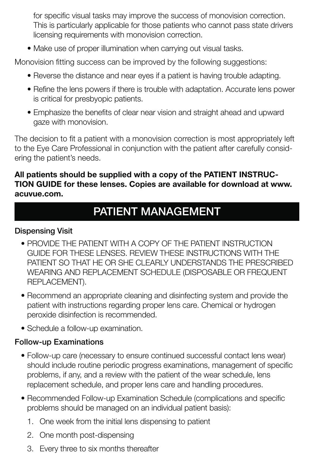for specific visual tasks may improve the success of monovision correction. This is particularly applicable for those patients who cannot pass state drivers licensing requirements with monovision correction.

• Make use of proper illumination when carrying out visual tasks.

Monovision fitting success can be improved by the following suggestions:

- Reverse the distance and near eyes if a patient is having trouble adapting.
- Refine the lens powers if there is trouble with adaptation. Accurate lens power is critical for presbyopic patients.
- Emphasize the benefits of clear near vision and straight ahead and upward gaze with monovision.

The decision to fit a patient with a monovision correction is most appropriately left to the Eye Care Professional in conjunction with the patient after carefully considering the patient's needs.

#### **All patients should be supplied with a copy of the PATIENT INSTRUC-TION GUIDE for these lenses. Copies are available for download at www. acuvue.com.**

# **PATIENT MANAGEMENT**

#### **Dispensing Visit**

- PROVIDE THE PATIENT WITH A COPY OF THE PATIENT INSTRUCTION GUIDE FOR THESE LENSES. REVIEW THESE INSTRUCTIONS WITH THE PATIENT SO THAT HE OR SHE CLEARLY UNDERSTANDS THE PRESCRIBED WEARING AND REPLACEMENT SCHEDULE (DISPOSABLE OR FREQUENT REPLACEMENT).
- Recommend an appropriate cleaning and disinfecting system and provide the patient with instructions regarding proper lens care. Chemical or hydrogen peroxide disinfection is recommended.
- Schedule a follow-up examination.

#### **Follow-up Examinations**

- Follow-up care (necessary to ensure continued successful contact lens wear) should include routine periodic progress examinations, management of specific problems, if any, and a review with the patient of the wear schedule, lens replacement schedule, and proper lens care and handling procedures.
- Recommended Follow-up Examination Schedule (complications and specific problems should be managed on an individual patient basis):
	- 1. One week from the initial lens dispensing to patient
	- 2. One month post-dispensing
	- 3. Every three to six months thereafter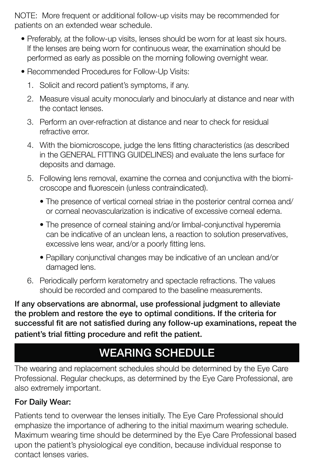NOTE: More frequent or additional follow-up visits may be recommended for patients on an extended wear schedule.

- Preferably, at the follow-up visits, lenses should be worn for at least six hours. If the lenses are being worn for continuous wear, the examination should be performed as early as possible on the morning following overnight wear.
- Recommended Procedures for Follow-Up Visits:
	- 1. Solicit and record patient's symptoms, if any.
	- 2. Measure visual acuity monocularly and binocularly at distance and near with the contact lenses.
	- 3. Perform an over-refraction at distance and near to check for residual refractive error.
	- 4. With the biomicroscope, judge the lens fitting characteristics (as described in the GENERAL FITTING GUIDELINES) and evaluate the lens surface for deposits and damage.
	- 5. Following lens removal, examine the cornea and conjunctiva with the biomicroscope and fluorescein (unless contraindicated).
		- The presence of vertical corneal striae in the posterior central cornea and/ or corneal neovascularization is indicative of excessive corneal edema.
		- The presence of corneal staining and/or limbal-conjunctival hyperemia can be indicative of an unclean lens, a reaction to solution preservatives, excessive lens wear, and/or a poorly fitting lens.
		- Papillary conjunctival changes may be indicative of an unclean and/or damaged lens.
	- 6. Periodically perform keratometry and spectacle refractions. The values should be recorded and compared to the baseline measurements.

**If any observations are abnormal, use professional judgment to alleviate the problem and restore the eye to optimal conditions. If the criteria for**  successful fit are not satisfied during any follow-up examinations, repeat the patient's trial fitting procedure and refit the patient.

# **WEARING SCHEDULE**

The wearing and replacement schedules should be determined by the Eye Care Professional. Regular checkups, as determined by the Eye Care Professional, are also extremely important.

# **For Daily Wear:**

Patients tend to overwear the lenses initially. The Eye Care Professional should emphasize the importance of adhering to the initial maximum wearing schedule. Maximum wearing time should be determined by the Eye Care Professional based upon the patient's physiological eye condition, because individual response to contact lenses varies.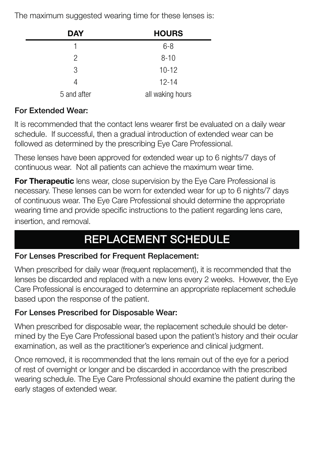The maximum suggested wearing time for these lenses is:

| <b>DAY</b>  | <b>HOURS</b>     |
|-------------|------------------|
|             | $6 - 8$          |
| 2           | $8 - 10$         |
| 3           | $10 - 12$        |
| 4           | $12 - 14$        |
| 5 and after | all waking hours |

#### **For Extended Wear:**

It is recommended that the contact lens wearer first be evaluated on a daily wear schedule. If successful, then a gradual introduction of extended wear can be followed as determined by the prescribing Eye Care Professional.

These lenses have been approved for extended wear up to 6 nights/7 days of continuous wear. Not all patients can achieve the maximum wear time.

**For Therapeutic** lens wear, close supervision by the Eye Care Professional is necessary. These lenses can be worn for extended wear for up to 6 nights/7 days of continuous wear. The Eye Care Professional should determine the appropriate wearing time and provide specific instructions to the patient regarding lens care, insertion, and removal.

# **REPLACEMENT SCHEDULE**

#### **For Lenses Prescribed for Frequent Replacement:**

When prescribed for daily wear (frequent replacement), it is recommended that the lenses be discarded and replaced with a new lens every 2 weeks. However, the Eye Care Professional is encouraged to determine an appropriate replacement schedule based upon the response of the patient.

# **For Lenses Prescribed for Disposable Wear:**

When prescribed for disposable wear, the replacement schedule should be determined by the Eye Care Professional based upon the patient's history and their ocular examination, as well as the practitioner's experience and clinical judgment.

Once removed, it is recommended that the lens remain out of the eye for a period of rest of overnight or longer and be discarded in accordance with the prescribed wearing schedule. The Eye Care Professional should examine the patient during the early stages of extended wear.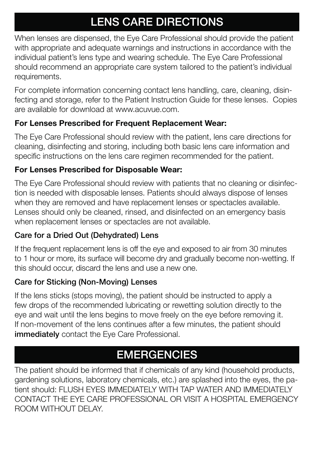# **LENS CARE DIRECTIONS**

When lenses are dispensed, the Eye Care Professional should provide the patient with appropriate and adequate warnings and instructions in accordance with the individual patient's lens type and wearing schedule. The Eye Care Professional should recommend an appropriate care system tailored to the patient's individual requirements.

For complete information concerning contact lens handling, care, cleaning, disinfecting and storage, refer to the Patient Instruction Guide for these lenses. Copies are available for download at www.acuvue.com.

# **For Lenses Prescribed for Frequent Replacement Wear:**

The Eye Care Professional should review with the patient, lens care directions for cleaning, disinfecting and storing, including both basic lens care information and specific instructions on the lens care regimen recommended for the patient.

# **For Lenses Prescribed for Disposable Wear:**

The Eye Care Professional should review with patients that no cleaning or disinfection is needed with disposable lenses. Patients should always dispose of lenses when they are removed and have replacement lenses or spectacles available. Lenses should only be cleaned, rinsed, and disinfected on an emergency basis when replacement lenses or spectacles are not available.

# **Care for a Dried Out (Dehydrated) Lens**

If the frequent replacement lens is off the eye and exposed to air from 30 minutes to 1 hour or more, its surface will become dry and gradually become non-wetting. If this should occur, discard the lens and use a new one.

# **Care for Sticking (Non-Moving) Lenses**

If the lens sticks (stops moving), the patient should be instructed to apply a few drops of the recommended lubricating or rewetting solution directly to the eye and wait until the lens begins to move freely on the eye before removing it. If non-movement of the lens continues after a few minutes, the patient should **immediately** contact the Eye Care Professional.

# EMERGENCIES

The patient should be informed that if chemicals of any kind (household products, gardening solutions, laboratory chemicals, etc.) are splashed into the eyes, the patient should: FLUSH EYES IMMEDIATELY WITH TAP WATER AND IMMEDIATELY CONTACT THE EYE CARE PROFESSIONAL OR VISIT A HOSPITAL EMERGENCY ROOM WITHOUT DELAY.